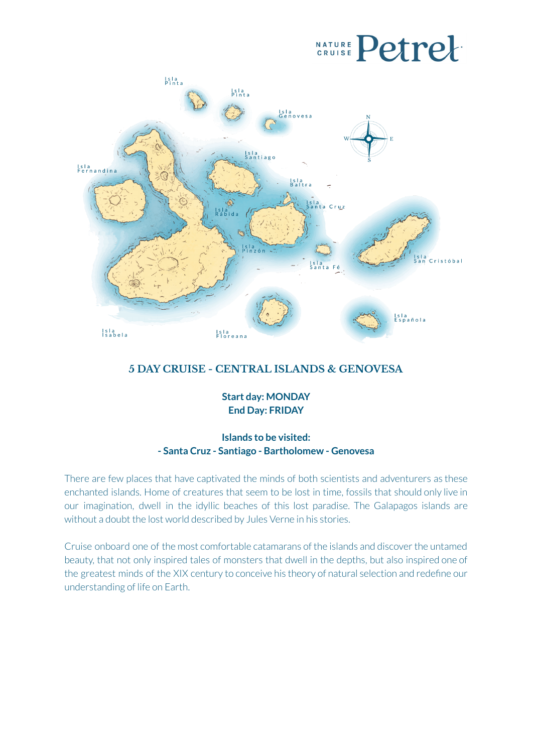# **CRUISE Petrel**



### **5 DAY CRUISE - CENTRAL ISLANDS & GENOVESA**

**Start day: MONDAY End Day: FRIDAY**

### **Islands to be visited: - Santa Cruz - Santiago - Bartholomew - Genovesa**

There are few places that have captivated the minds of both scientists and adventurers as these enchanted islands. Home of creatures that seem to be lost in time, fossils that should only live in our imagination, dwell in the idyllic beaches of this lost paradise. The Galapagos islands are without a doubt the lost world described by Jules Verne in his stories.

Cruise onboard one of the most comfortable catamarans of the islands and discoverthe untamed beauty, that not only inspired tales of monsters that dwell in the depths, but also inspired one of the greatest minds of the XIX century to conceive his theory of natural selection and redefine our understanding of life on Earth.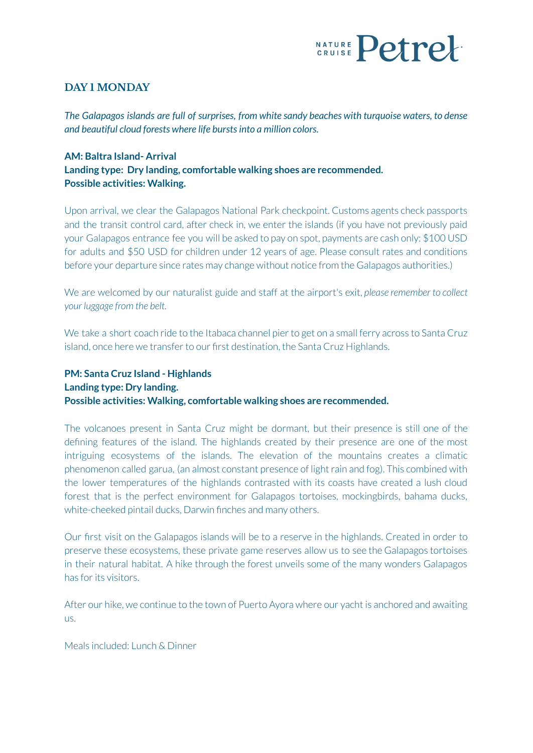

### **DAY 1 MONDAY**

*The Galapagos islands are full of surprises, from white sandy beaches with turquoise waters, to dense and beautiful cloud forests where life burstsinto a million colors.*

### **AM: Baltra Island- Arrival Landing type: Dry landing, comfortable walking shoes are recommended. Possible activities: Walking.**

Upon arrival, we clear the Galapagos National Park checkpoint. Customs agents check passports and the transit control card, after check in, we enter the islands (if you have not previously paid your Galapagos entrance fee you will be asked to pay on spot, payments are cash only: \$100 USD for adults and \$50 USD for children under 12 years of age. Please consult rates and conditions before your departure since rates may change without notice from the Galapagos authorities.)

We are welcomed by our naturalist guide and staff at the airport's exit, *please remember to collect your luggage from the belt.*

We take a short coach ride to the Itabaca channel pierto get on a small ferry across to Santa Cruz island, once here we transfer to our first destination, the Santa Cruz Highlands.

#### **PM: Santa Cruz Island - Highlands Landing type: Dry landing. Possible activities: Walking, comfortable walking shoes are recommended.**

The volcanoes present in Santa Cruz might be dormant, but their presence is still one of the defining features of the island. The highlands created by their presence are one of the most intriguing ecosystems of the islands. The elevation of the mountains creates a climatic phenomenon called garua, (an almost constant presence of light rain and fog). This combined with the lower temperatures of the highlands contrasted with its coasts have created a lush cloud forest that is the perfect environment for Galapagos tortoises, mockingbirds, bahama ducks, white-cheeked pintail ducks, Darwin finches and many others.

Our first visit on the Galapagos islands will be to a reserve in the highlands. Created in order to preserve these ecosystems, these private game reserves allow us to see the Galapagos tortoises in their natural habitat. A hike through the forest unveils some of the many wonders Galapagos has for its visitors

After our hike, we continue to the town of Puerto Ayora where our yacht is anchored and awaiting us.

Meals included: Lunch & Dinner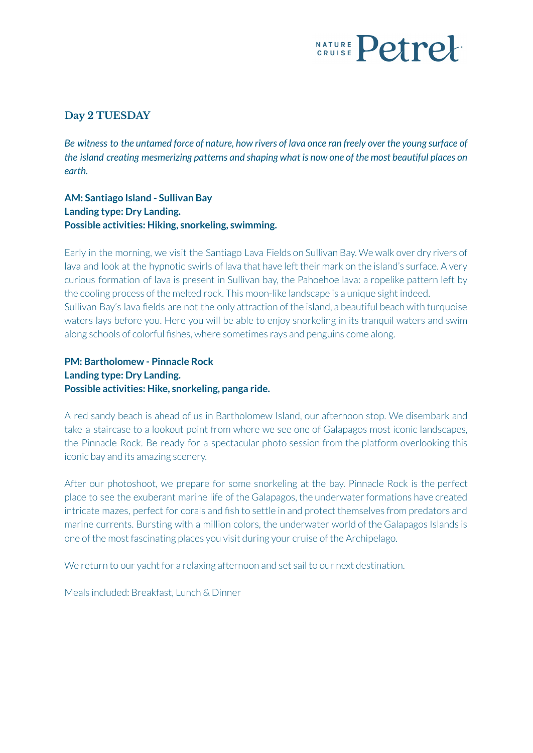## **NATURE Petre!**

### **Day 2 TUESDAY**

Be witness to the untamed force of nature, how rivers of lava once ran freely over the young surface of *the island creating mesmerizing patterns and shaping what is now one of the most beautiful places on earth.*

**AM: Santiago Island - Sullivan Bay Landing type: Dry Landing. Possible activities: Hiking, snorkeling, swimming.**

Early in the morning, we visit the Santiago Lava Fields on Sullivan Bay. We walk over dry rivers of lava and look at the hypnotic swirls of lava that have left their mark on the island's surface. A very curious formation of lava is present in Sullivan bay, the Pahoehoe lava: a ropelike pattern left by the cooling process of the melted rock. This moon-like landscape is a unique sight indeed. Sullivan Bay's lava fields are not the only attraction of the island, a beautiful beach with turquoise waters lays before you. Here you will be able to enjoy snorkeling in its tranquil waters and swim along schools of colorful fishes, where sometimes rays and penguins come along.

**PM: Bartholomew - Pinnacle Rock Landing type: Dry Landing. Possible activities: Hike, snorkeling, panga ride.**

A red sandy beach is ahead of us in Bartholomew Island, our afternoon stop. We disembark and take a staircase to a lookout point from where we see one of Galapagos most iconic landscapes, the Pinnacle Rock. Be ready for a spectacular photo session from the platform overlooking this iconic bay and its amazing scenery.

After our photoshoot, we prepare for some snorkeling at the bay. Pinnacle Rock is the perfect place to see the exuberant marine life of the Galapagos, the underwater formations have created intricate mazes, perfect for corals and fish to settle in and protect themselves from predators and marine currents. Bursting with a million colors, the underwater world of the Galapagos Islands is one of the most fascinating places you visit during your cruise of the Archipelago.

We return to our yacht for a relaxing afternoon and set sail to our next destination.

Meals included: Breakfast, Lunch & Dinner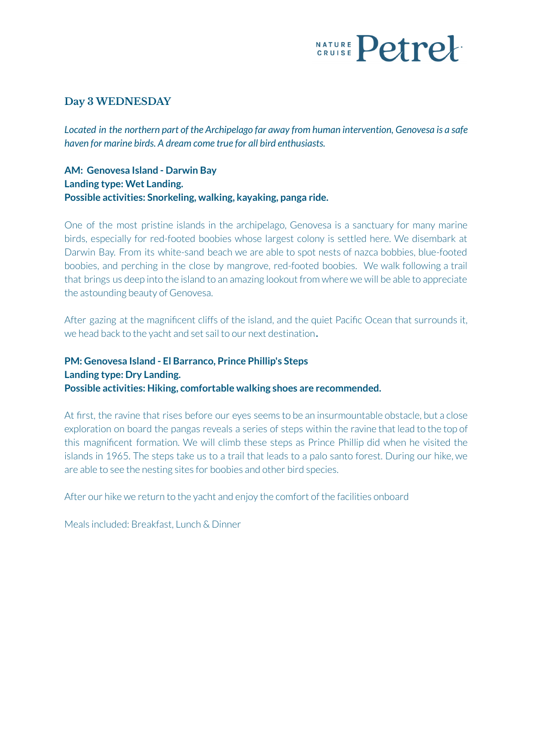## **CRUISE Petre**

#### **Day 3 WEDNESDAY**

*Located in the northern part of the Archipelago far away from human intervention, Genovesa is a safe haven for marine birds. A dream come true for all bird enthusiasts.*

**AM: Genovesa Island - Darwin Bay Landing type: Wet Landing. Possible activities: Snorkeling, walking, kayaking, panga ride.**

One of the most pristine islands in the archipelago, Genovesa is a sanctuary for many marine birds, especially for red-footed boobies whose largest colony is settled here. We disembark at Darwin Bay. From its white-sand beach we are able to spot nests of nazca bobbies, blue-footed boobies, and perching in the close by mangrove, red-footed boobies. We walk following a trail that brings us deep into the island to an amazing lookout from where we will be able to appreciate the astounding beauty of Genovesa.

After gazing at the magnificent cliffs of the island, and the quiet Pacific Ocean that surrounds it, we head back to the yacht and set sail to our next destination.

### **PM: Genovesa Island - El Barranco, Prince Phillip's Steps Landing type: Dry Landing. Possible activities: Hiking, comfortable walking shoes are recommended.**

At first, the ravine that rises before our eyes seems to be an insurmountable obstacle, but a close exploration on board the pangas reveals a series of steps within the ravine that lead to the top of this magnificent formation. We will climb these steps as Prince Phillip did when he visited the islands in 1965. The steps take us to a trail that leads to a palo santo forest. During our hike, we are able to see the nesting sites for boobies and other bird species.

After our hike we return to the yacht and enjoy the comfort of the facilities onboard

Meals included: Breakfast, Lunch & Dinner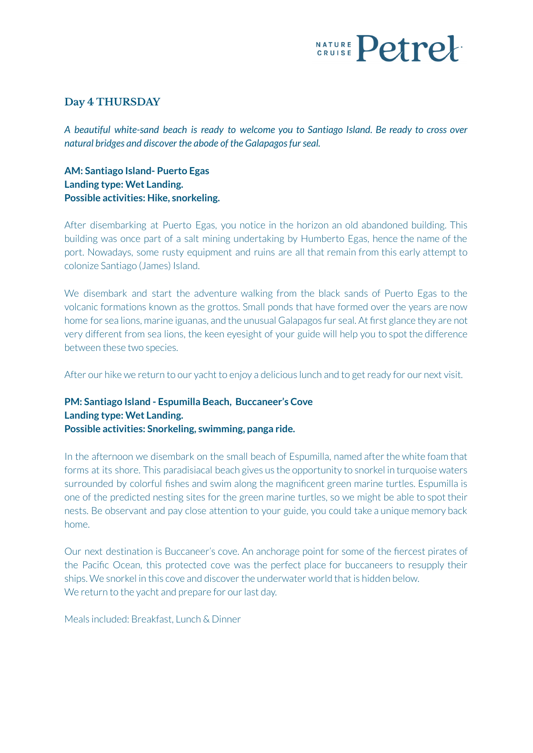

#### **Day 4 THURSDAY**

*A beautiful white-sand beach is ready to welcome you to Santiago Island. Be ready to cross over natural bridges and discover the abode of the Galapagosfurseal.*

**AM: Santiago Island- Puerto Egas Landing type: Wet Landing. Possible activities: Hike, snorkeling.**

After disembarking at Puerto Egas, you notice in the horizon an old abandoned building. This building was once part of a salt mining undertaking by Humberto Egas, hence the name of the port. Nowadays, some rusty equipment and ruins are all that remain from this early attempt to colonize Santiago (James) Island.

We disembark and start the adventure walking from the black sands of Puerto Egas to the volcanic formations known as the grottos. Small ponds that have formed over the years are now home for sea lions, marine iguanas, and the unusual Galapagos fur seal. At first glance they are not very different from sea lions, the keen eyesight of your guide will help you to spot the difference between these two species.

After our hike we return to our yacht to enjoy a delicious lunch and to get ready for our next visit.

### **PM: Santiago Island - Espumilla Beach, Buccaneer's Cove Landing type: Wet Landing. Possible activities: Snorkeling, swimming, panga ride.**

In the afternoon we disembark on the small beach of Espumilla, named after the white foam that forms at its shore. This paradisiacal beach gives us the opportunity to snorkel in turquoise waters surrounded by colorful fishes and swim along the magnificent green marine turtles. Espumilla is one of the predicted nesting sites for the green marine turtles, so we might be able to spot their nests. Be observant and pay close attention to your guide, you could take a unique memory back home.

Our next destination is Buccaneer's cove. An anchorage point for some of the fiercest pirates of the Pacific Ocean, this protected cove was the perfect place for buccaneers to resupply their ships. We snorkel in this cove and discover the underwater world that is hidden below. We return to the vacht and prepare for our last day.

Meals included: Breakfast, Lunch & Dinner